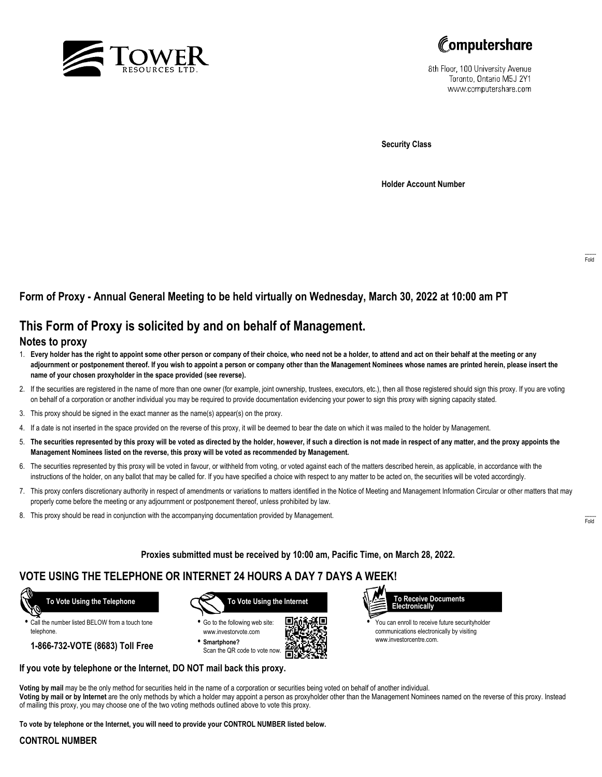



8th Floor, 100 University Avenue Toronto, Ontario M5J 2Y1 www.computershare.com

**Security Class**

**Holder Account Number**

## **Form of Proxy - Annual General Meeting to be held virtually on Wednesday, March 30, 2022 at 10:00 am PT**

## **This Form of Proxy is solicited by and on behalf of Management.**

### **Notes to proxy**

- 1. **Every holder has the right to appoint some other person or company of their choice, who need not be a holder, to attend and act on their behalf at the meeting or any adjournment or postponement thereof. If you wish to appoint a person or company other than the Management Nominees whose names are printed herein, please insert the name of your chosen proxyholder in the space provided (see reverse).**
- 2. If the securities are registered in the name of more than one owner (for example, joint ownership, trustees, executors, etc.), then all those registered should sign this proxy. If you are voting on behalf of a corporation or another individual you may be required to provide documentation evidencing your power to sign this proxy with signing capacity stated.
- 3. This proxy should be signed in the exact manner as the name(s) appear(s) on the proxy.
- 4. If a date is not inserted in the space provided on the reverse of this proxy, it will be deemed to bear the date on which it was mailed to the holder by Management.
- 5. **The securities represented by this proxy will be voted as directed by the holder, however, if such a direction is not made in respect of any matter, and the proxy appoints the Management Nominees listed on the reverse, this proxy will be voted as recommended by Management.**
- 6. The securities represented by this proxy will be voted in favour, or withheld from voting, or voted against each of the matters described herein, as applicable, in accordance with the instructions of the holder, on any ballot that may be called for. If you have specified a choice with respect to any matter to be acted on, the securities will be voted accordingly.
- 7. This proxy confers discretionary authority in respect of amendments or variations to matters identified in the Notice of Meeting and Management Information Circular or other matters that may properly come before the meeting or any adjournment or postponement thereof, unless prohibited by law.
- 8. This proxy should be read in conjunction with the accompanying documentation provided by Management.

**Proxies submitted must be received by 10:00 am, Pacific Time, on March 28, 2022.**

# **VOTE USING THE TELEPHONE OR INTERNET 24 HOURS A DAY 7 DAYS A WEEK!**



**•** Call the number listed BELOW from a touch tone telephone.

**1-866-732-VOTE (8683) Toll Free**



**•** Go to the following web site: www.investorvote.com **• Smartphone?**

Scan the QR code to vote now.





**•** You can enroll to receive future securityholder communications electronically by visiting www.investorcentre.com.

#### **If you vote by telephone or the Internet, DO NOT mail back this proxy.**

**Voting by mail** may be the only method for securities held in the name of a corporation or securities being voted on behalf of another individual. **Voting by mail or by Internet** are the only methods by which a holder may appoint a person as proxyholder other than the Management Nominees named on the reverse of this proxy. Instead of mailing this proxy, you may choose one of the two voting methods outlined above to vote this proxy.

**To vote by telephone or the Internet, you will need to provide your CONTROL NUMBER listed below.**

#### **CONTROL NUMBER**